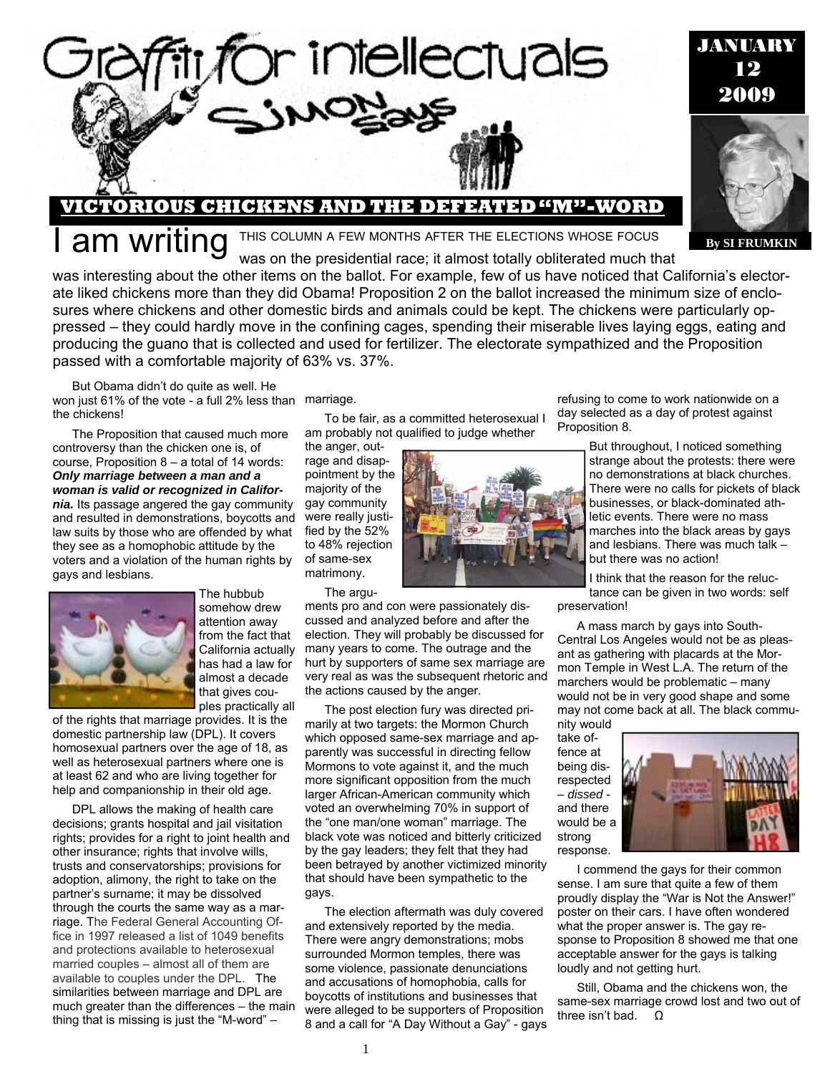

#### **By SI FRUMKIN**

**VICTORIOUS CHICKENS AND THE DEFEATED "M"-WORD** 

**am writing** This COLUMN A FEW MONTHS AFTER THE ELECTIONS WHOSE FOCUS was on the presidential race; it almost totally obliterated much that

or intellectuals

was interesting about the other items on the ballot. For example, few of us have noticed that California's electorate liked chickens more than they did Obama! Proposition 2 on the ballot increased the minimum size of enclosures where chickens and other domestic birds and animals could be kept. The chickens were particularly oppressed – they could hardly move in the confining cages, spending their miserable lives laying eggs, eating and producing the guano that is collected and used for fertilizer. The electorate sympathized and the Proposition passed with a comfortable majority of 63% vs. 37%.

But Obama didn't do quite as well. He won just 61% of the vote - a full 2% less than marriage. the chickens!

The Proposition that caused much more controversy than the chicken one is, of course, Proposition 8 – a total of 14 words: *Only marriage between a man and a woman is valid or recognized in California.* Its passage angered the gay community and resulted in demonstrations, boycotts and law suits by those who are offended by what they see as a homophobic attitude by the voters and a violation of the human rights by gays and lesbians.



The hubbub somehow drew attention away from the fact that California actually has had a law for almost a decade that gives couples practically all

of the rights that marriage provides. It is the domestic partnership law (DPL). It covers homosexual partners over the age of 18, as well as heterosexual partners where one is at least 62 and who are living together for help and companionship in their old age.

DPL allows the making of health care decisions; grants hospital and jail visitation rights; provides for a right to joint health and other insurance; rights that involve wills, trusts and conservatorships; provisions for adoption, alimony, the right to take on the partner's surname; it may be dissolved through the courts the same way as a marriage. The Federal General Accounting Office in 1997 released a list of 1049 benefits and protections available to heterosexual married couples – almost all of them are available to couples under the DPL. The similarities between marriage and DPL are much greater than the differences – the main thing that is missing is just the "M-word" –

To be fair, as a committed heterosexual I am probably not qualified to judge whether

the anger, outrage and disappointment by the majority of the gay community were really justified by the 52% to 48% rejection of same-sex matrimony.

The argu-

ments pro and con were passionately discussed and analyzed before and after the election. They will probably be discussed for many years to come. The outrage and the hurt by supporters of same sex marriage are very real as was the subsequent rhetoric and the actions caused by the anger.

The post election fury was directed primarily at two targets: the Mormon Church which opposed same-sex marriage and apparently was successful in directing fellow Mormons to vote against it, and the much more significant opposition from the much larger African-American community which voted an overwhelming 70% in support of the "one man/one woman" marriage. The black vote was noticed and bitterly criticized by the gay leaders; they felt that they had been betrayed by another victimized minority that should have been sympathetic to the gays.

The election aftermath was duly covered and extensively reported by the media. There were angry demonstrations; mobs surrounded Mormon temples, there was some violence, passionate denunciations and accusations of homophobia, calls for boycotts of institutions and businesses that were alleged to be supporters of Proposition 8 and a call for "A Day Without a Gay" - gays



refusing to come to work nationwide on a day selected as a day of protest against Proposition 8.

> But throughout, I noticed something strange about the protests: there were no demonstrations at black churches. There were no calls for pickets of black businesses, or black-dominated athletic events. There were no mass marches into the black areas by gays and lesbians. There was much talk – but there was no action!

I think that the reason for the reluctance can be given in two words: self preservation!

A mass march by gays into South-Central Los Angeles would not be as pleasant as gathering with placards at the Mormon Temple in West L.A. The return of the marchers would be problematic – many would not be in very good shape and some may not come back at all. The black community would

take offence at being disrespected – *dissed* and there would be a strong response.



I commend the gays for their common sense. I am sure that quite a few of them proudly display the "War is Not the Answer!" poster on their cars. I have often wondered what the proper answer is. The gay response to Proposition 8 showed me that one acceptable answer for the gays is talking loudly and not getting hurt.

Still, Obama and the chickens won, the same-sex marriage crowd lost and two out of three isn't bad. Ω

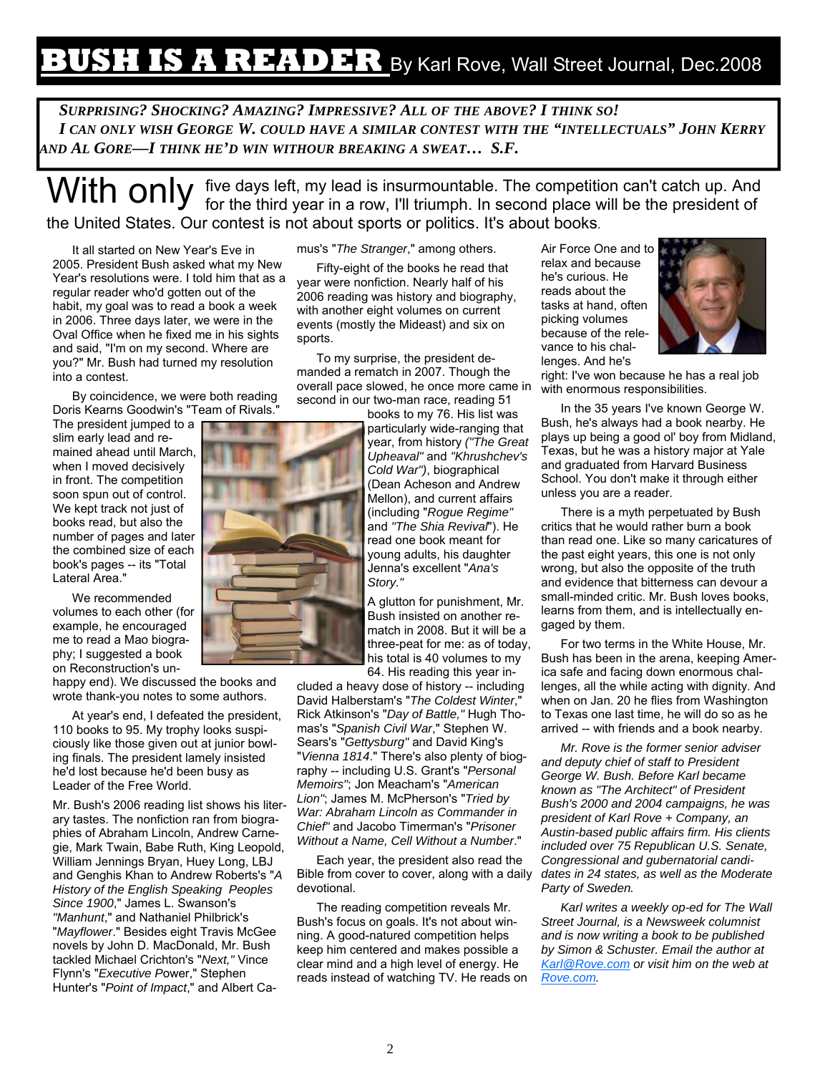### **BUSH IS A READER** By Karl Rove, Wall Street Journal, Dec.2008

*SURPRISING? SHOCKING? AMAZING? IMPRESSIVE? ALL OF THE ABOVE? I THINK SO! I CAN ONLY WISH GEORGE W. COULD HAVE A SIMILAR CONTEST WITH THE "INTELLECTUALS" JOHN KERRY AND AL GORE—I THINK HE'D WIN WITHOUR BREAKING A SWEAT… S.F.* 

With only five days left, my lead is insurmountable. The competition can't catch up. And for the third year in a row, I'll triumph. In second place will be the president of the United States. Our contest is not about sports or politics. It's about books.

It all started on New Year's Eve in 2005. President Bush asked what my New Year's resolutions were. I told him that as a regular reader who'd gotten out of the habit, my goal was to read a book a week in 2006. Three days later, we were in the Oval Office when he fixed me in his sights and said, "I'm on my second. Where are you?" Mr. Bush had turned my resolution into a contest.

By coincidence, we were both reading Doris Kearns Goodwin's "Team of Rivals."

The president jumped to a slim early lead and remained ahead until March, when I moved decisively in front. The competition soon spun out of control. We kept track not just of books read, but also the number of pages and later the combined size of each book's pages -- its "Total Lateral Area."

We recommended volumes to each other (for example, he encouraged me to read a Mao biography; I suggested a book on Reconstruction's un-

happy end). We discussed the books and wrote thank-you notes to some authors.

At year's end, I defeated the president, 110 books to 95. My trophy looks suspiciously like those given out at junior bowling finals. The president lamely insisted he'd lost because he'd been busy as Leader of the Free World.

Mr. Bush's 2006 reading list shows his literary tastes. The nonfiction ran from biographies of Abraham Lincoln, Andrew Carnegie, Mark Twain, Babe Ruth, King Leopold, William Jennings Bryan, Huey Long, LBJ and Genghis Khan to Andrew Roberts's "*A History of the English Speaking Peoples Since 1900*," James L. Swanson's *"Manhunt*," and Nathaniel Philbrick's "*Mayflower*." Besides eight Travis McGee novels by John D. MacDonald, Mr. Bush tackled Michael Crichton's "*Next,"* Vince Flynn's "*Executive P*ower," Stephen Hunter's "*Point of Impact*," and Albert Camus's "*The Stranger*," among others.

Fifty-eight of the books he read that year were nonfiction. Nearly half of his 2006 reading was history and biography, with another eight volumes on current events (mostly the Mideast) and six on sports.

To my surprise, the president demanded a rematch in 2007. Though the overall pace slowed, he once more came in second in our two-man race, reading 51

> books to my 76. His list was particularly wide-ranging that year, from history *("The Great Upheaval"* and *"Khrushchev's Cold War")*, biographical (Dean Acheson and Andrew Mellon), and current affairs (including "*Rogue Regime"*  and *"The Shia Revival*"). He read one book meant for young adults, his daughter Jenna's excellent "*Ana's Story."*

> A glutton for punishment, Mr. Bush insisted on another rematch in 2008. But it will be a three-peat for me: as of today, his total is 40 volumes to my 64. His reading this year in-

cluded a heavy dose of history -- including David Halberstam's "*The Coldest Winter*," Rick Atkinson's "*Day of Battle,"* Hugh Thomas's "*Spanish Civil War*," Stephen W. Sears's "*Gettysburg"* and David King's "*Vienna 1814*." There's also plenty of biography -- including U.S. Grant's "*Personal Memoirs"*; Jon Meacham's "*American Lion"*; James M. McPherson's "*Tried by War: Abraham Lincoln as Commander in Chief"* and Jacobo Timerman's "*Prisoner Without a Name, Cell Without a Number*."

Each year, the president also read the Bible from cover to cover, along with a daily devotional.

The reading competition reveals Mr. Bush's focus on goals. It's not about winning. A good-natured competition helps keep him centered and makes possible a clear mind and a high level of energy. He reads instead of watching TV. He reads on Air Force One and to relax and because he's curious. He reads about the tasks at hand, often picking volumes because of the relevance to his challenges. And he's



right: I've won because he has a real job with enormous responsibilities.

In the 35 years I've known George W. Bush, he's always had a book nearby. He plays up being a good ol' boy from Midland, Texas, but he was a history major at Yale and graduated from Harvard Business School. You don't make it through either unless you are a reader.

There is a myth perpetuated by Bush critics that he would rather burn a book than read one. Like so many caricatures of the past eight years, this one is not only wrong, but also the opposite of the truth and evidence that bitterness can devour a small-minded critic. Mr. Bush loves books, learns from them, and is intellectually engaged by them.

For two terms in the White House, Mr. Bush has been in the arena, keeping America safe and facing down enormous challenges, all the while acting with dignity. And when on Jan. 20 he flies from Washington to Texas one last time, he will do so as he arrived -- with friends and a book nearby.

*Mr. Rove is the former senior adviser and deputy chief of staff to President George W. Bush. Before Karl became known as "The Architect" of President Bush's 2000 and 2004 campaigns, he was president of Karl Rove + Company, an Austin-based public affairs firm. His clients included over 75 Republican U.S. Senate, Congressional and gubernatorial candidates in 24 states, as well as the Moderate Party of Sweden.* 

*Karl writes a weekly op-ed for The Wall Street Journal, is a Newsweek columnist and is now writing a book to be published by Simon & Schuster. Email the author at Karl@Rove.com or visit him on the web at Rove.com.* 

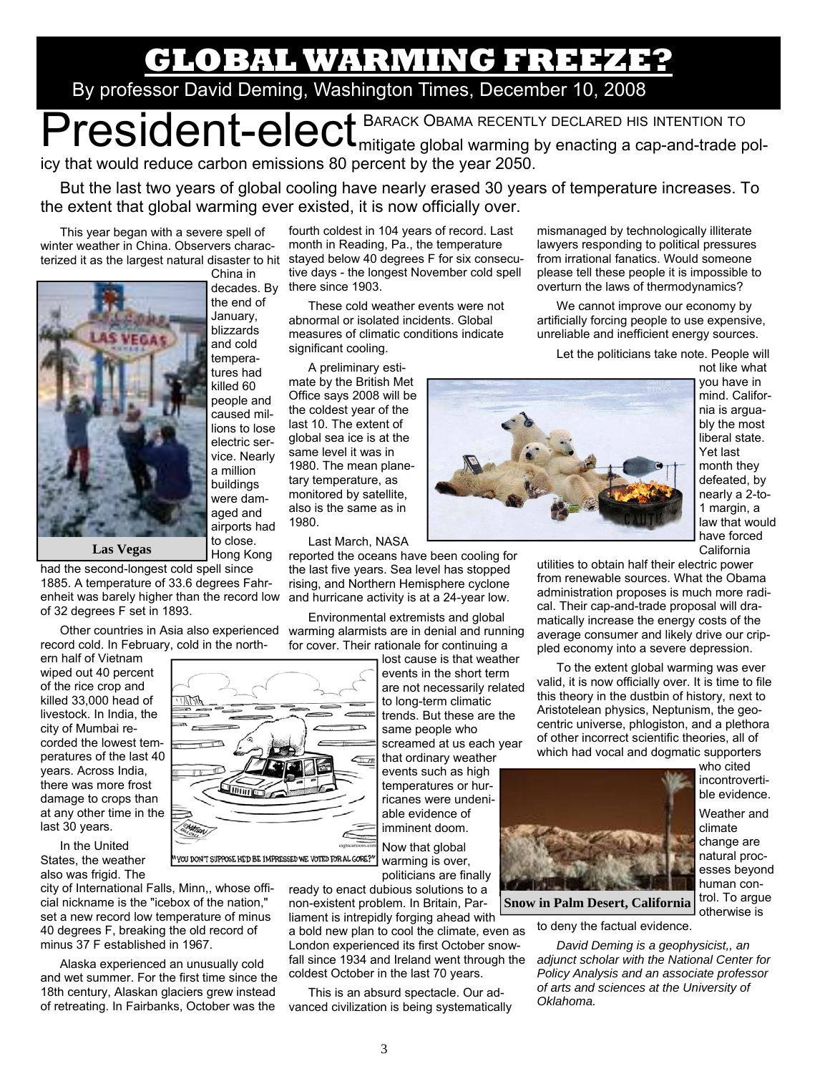## **GLOBAL WARMING FREEZE?**

### By professor David Deming, Washington Times, December 10, 2008

President-elect BARACK OBAMA RECENTLY DECLARED HIS INTENTION TO icy that would reduce carbon emissions 80 percent by the year 2050.

But the last two years of global cooling have nearly erased 30 years of temperature increases. To the extent that global warming ever existed, it is now officially over.

This year began with a severe spell of winter weather in China. Observers characterized it as the largest natural disaster to hit stayed below 40 degrees F for six consecu-China in



decades. By the end of January, blizzards and cold temperatures had killed 60 people and caused millions to lose electric service. Nearly a million buildings were damaged and airports had to close.

had the second-longest cold spell since 1885. A temperature of 33.6 degrees Fahrenheit was barely higher than the record low of 32 degrees F set in 1893.

Other countries in Asia also experienced record cold. In February, cold in the north-

ern half of Vietnam wiped out 40 percent of the rice crop and killed 33,000 head of livestock. In India, the city of Mumbai recorded the lowest temperatures of the last 40 years. Across India, there was more frost damage to crops than at any other time in the last 30 years.

In the United States, the weather also was frigid. The

city of International Falls, Minn,, whose official nickname is the "icebox of the nation," set a new record low temperature of minus 40 degrees F, breaking the old record of minus 37 F established in 1967.

Alaska experienced an unusually cold and wet summer. For the first time since the 18th century, Alaskan glaciers grew instead of retreating. In Fairbanks, October was the

fourth coldest in 104 years of record. Last month in Reading, Pa., the temperature tive days - the longest November cold spell there since 1903.

These cold weather events were not abnormal or isolated incidents. Global measures of climatic conditions indicate significant cooling.

A preliminary estimate by the British Met Office says 2008 will be the coldest year of the last 10. The extent of global sea ice is at the same level it was in 1980. The mean planetary temperature, as monitored by satellite, also is the same as in 1980.

Last March, NASA

reported the oceans have been cooling for the last five years. Sea level has stopped rising, and Northern Hemisphere cyclone and hurricane activity is at a 24-year low.

Environmental extremists and global warming alarmists are in denial and running for cover. Their rationale for continuing a

> lost cause is that weather events in the short term are not necessarily related to long-term climatic trends. But these are the same people who screamed at us each year that ordinary weather events such as high temperatures or hurricanes were undeniable evidence of imminent doom.

Now that global warming is over, politicians are finally

ready to enact dubious solutions to a non-existent problem. In Britain, Parliament is intrepidly forging ahead with

a bold new plan to cool the climate, even as London experienced its first October snowfall since 1934 and Ireland went through the coldest October in the last 70 years.

This is an absurd spectacle. Our advanced civilization is being systematically mismanaged by technologically illiterate lawyers responding to political pressures from irrational fanatics. Would someone please tell these people it is impossible to overturn the laws of thermodynamics?

We cannot improve our economy by artificially forcing people to use expensive, unreliable and inefficient energy sources.

Let the politicians take note. People will



not like what you have in mind. California is arguably the most liberal state. Yet last month they defeated, by nearly a 2-to-1 margin, a law that would have forced California

utilities to obtain half their electric power from renewable sources. What the Obama administration proposes is much more radical. Their cap-and-trade proposal will dramatically increase the energy costs of the average consumer and likely drive our crippled economy into a severe depression.

To the extent global warming was ever valid, it is now officially over. It is time to file this theory in the dustbin of history, next to Aristotelean physics, Neptunism, the geocentric universe, phlogiston, and a plethora of other incorrect scientific theories, all of which had vocal and dogmatic supporters



who cited incontrovertible evidence.

Weather and climate change are natural processes beyond human control. To argue otherwise is

to deny the factual evidence.

*David Deming is a geophysicist,, an adjunct scholar with the National Center for Policy Analysis and an associate professor of arts and sciences at the University of Oklahoma.*



3